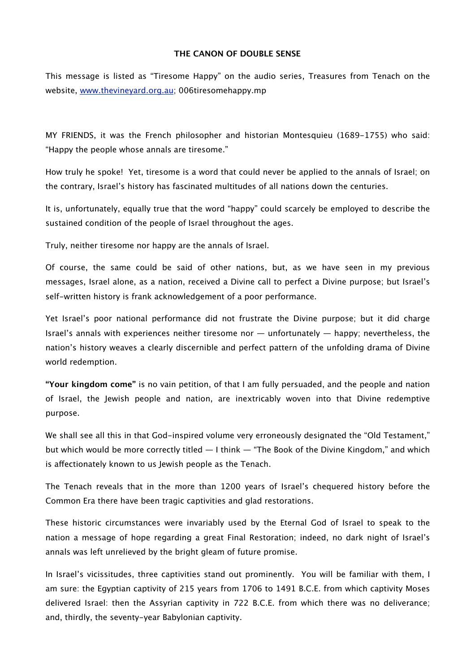## **THE CANON OF DOUBLE SENSE**

This message is listed as "Tiresome Happy" on the audio series, Treasures from Tenach on the website, [www.thevineyard.org.au](http://www.thevineyard.org.au); 006tiresomehappy.mp

MY FRIENDS, it was the French philosopher and historian Montesquieu (1689-1755) who said: "Happy the people whose annals are tiresome."

How truly he spoke! Yet, tiresome is a word that could never be applied to the annals of Israel; on the contrary, Israel's history has fascinated multitudes of all nations down the centuries.

It is, unfortunately, equally true that the word "happy" could scarcely be employed to describe the sustained condition of the people of Israel throughout the ages.

Truly, neither tiresome nor happy are the annals of Israel.

Of course, the same could be said of other nations, but, as we have seen in my previous messages, Israel alone, as a nation, received a Divine call to perfect a Divine purpose; but Israel's self-written history is frank acknowledgement of a poor performance.

Yet Israel's poor national performance did not frustrate the Divine purpose; but it did charge Israel's annals with experiences neither tiresome nor — unfortunately — happy; nevertheless, the nation's history weaves a clearly discernible and perfect pattern of the unfolding drama of Divine world redemption.

**"Your kingdom come"** is no vain petition, of that I am fully persuaded, and the people and nation of Israel, the Jewish people and nation, are inextricably woven into that Divine redemptive purpose.

We shall see all this in that God-inspired volume very erroneously designated the "Old Testament," but which would be more correctly titled — I think — "The Book of the Divine Kingdom," and which is afectionately known to us Jewish people as the Tenach.

The Tenach reveals that in the more than 1200 years of Israel's chequered history before the Common Era there have been tragic captivities and glad restorations.

These historic circumstances were invariably used by the Eternal God of Israel to speak to the nation a message of hope regarding a great Final Restoration; indeed, no dark night of Israel's annals was left unrelieved by the bright gleam of future promise.

In Israel's vicissitudes, three captivities stand out prominently. You will be familiar with them, I am sure: the Egyptian captivity of 215 years from 1706 to 1491 B.C.E. from which captivity Moses delivered Israel: then the Assyrian captivity in 722 B.C.E. from which there was no deliverance; and, thirdly, the seventy-year Babylonian captivity.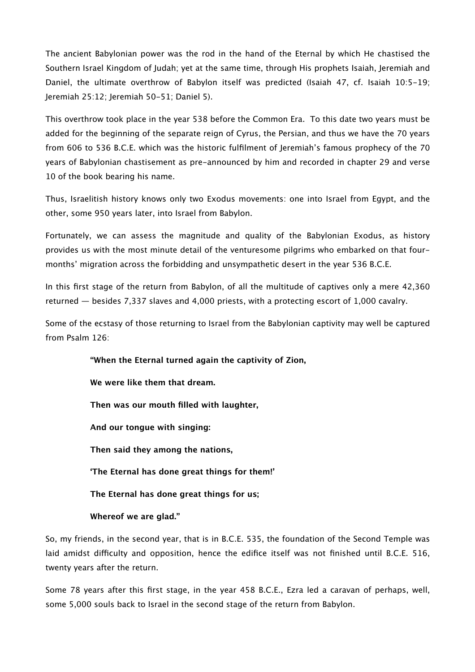The ancient Babylonian power was the rod in the hand of the Eternal by which He chastised the Southern Israel Kingdom of Judah; yet at the same time, through His prophets Isaiah, Jeremiah and Daniel, the ultimate overthrow of Babylon itself was predicted (Isaiah 47, cf. Isaiah 10:5-19; Jeremiah 25:12; Jeremiah 50-51; Daniel 5).

This overthrow took place in the year 538 before the Common Era. To this date two years must be added for the beginning of the separate reign of Cyrus, the Persian, and thus we have the 70 years from 606 to 536 B.C.E. which was the historic fulfilment of Jeremiah's famous prophecy of the 70 years of Babylonian chastisement as pre-announced by him and recorded in chapter 29 and verse 10 of the book bearing his name.

Thus, Israelitish history knows only two Exodus movements: one into Israel from Egypt, and the other, some 950 years later, into Israel from Babylon.

Fortunately, we can assess the magnitude and quality of the Babylonian Exodus, as history provides us with the most minute detail of the venturesome pilgrims who embarked on that fourmonths' migration across the forbidding and unsympathetic desert in the year 536 B.C.E.

In this first stage of the return from Babylon, of all the multitude of captives only a mere 42,360 returned — besides 7,337 slaves and 4,000 priests, with a protecting escort of 1,000 cavalry.

Some of the ecstasy of those returning to Israel from the Babylonian captivity may well be captured from Psalm 126:

> **"When the Eternal turned again the captivity of Zion, We were like them that dream. Then was our mouth filled with laughter, And our tongue with singing: Then said they among the nations, 'The Eternal has done great things for them!' The Eternal has done great things for us; Whereof we are glad."**

So, my friends, in the second year, that is in B.C.E. 535, the foundation of the Second Temple was laid amidst difficulty and opposition, hence the edifice itself was not finished until B.C.E. 516, twenty years after the return.

Some 78 years after this first stage, in the year 458 B.C.E., Ezra led a caravan of perhaps, well, some 5,000 souls back to Israel in the second stage of the return from Babylon.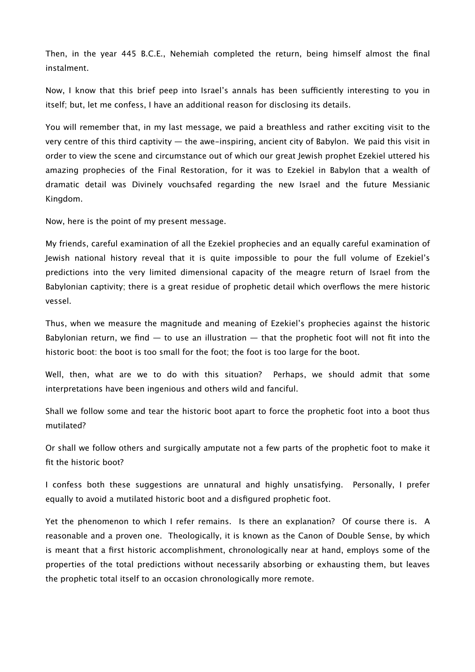Then, in the year 445 B.C.E., Nehemiah completed the return, being himself almost the final instalment.

Now, I know that this brief peep into Israel's annals has been sufficiently interesting to you in itself; but, let me confess, I have an additional reason for disclosing its details.

You will remember that, in my last message, we paid a breathless and rather exciting visit to the very centre of this third captivity — the awe-inspiring, ancient city of Babylon. We paid this visit in order to view the scene and circumstance out of which our great Jewish prophet Ezekiel uttered his amazing prophecies of the Final Restoration, for it was to Ezekiel in Babylon that a wealth of dramatic detail was Divinely vouchsafed regarding the new Israel and the future Messianic Kingdom.

Now, here is the point of my present message.

My friends, careful examination of all the Ezekiel prophecies and an equally careful examination of Jewish national history reveal that it is quite impossible to pour the full volume of Ezekiel's predictions into the very limited dimensional capacity of the meagre return of Israel from the Babylonian captivity; there is a great residue of prophetic detail which overflows the mere historic vessel.

Thus, when we measure the magnitude and meaning of Ezekiel's prophecies against the historic Babylonian return, we find  $-$  to use an illustration  $-$  that the prophetic foot will not fit into the historic boot: the boot is too small for the foot; the foot is too large for the boot.

Well, then, what are we to do with this situation? Perhaps, we should admit that some interpretations have been ingenious and others wild and fanciful.

Shall we follow some and tear the historic boot apart to force the prophetic foot into a boot thus mutilated?

Or shall we follow others and surgically amputate not a few parts of the prophetic foot to make it fit the historic boot?

I confess both these suggestions are unnatural and highly unsatisfying. Personally, I prefer equally to avoid a mutilated historic boot and a disfigured prophetic foot.

Yet the phenomenon to which I refer remains. Is there an explanation? Of course there is. A reasonable and a proven one. Theologically, it is known as the Canon of Double Sense, by which is meant that a first historic accomplishment, chronologically near at hand, employs some of the properties of the total predictions without necessarily absorbing or exhausting them, but leaves the prophetic total itself to an occasion chronologically more remote.